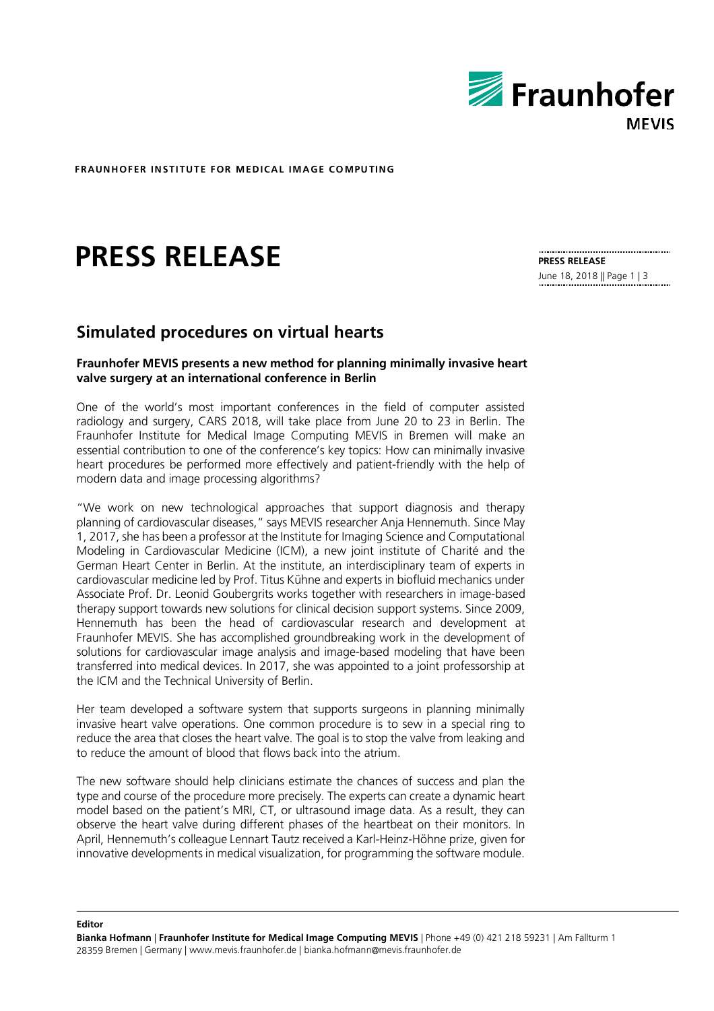

**FRAUNHOFER IN STI TUTE FOR MEDICAL IMAGE CO MPU TING**

# **PRESS RELEASE**

**PRESS RELEASE**  June 18, 2018 || Page 1 | 3

# **Simulated procedures on virtual hearts**

# **Fraunhofer MEVIS presents a new method for planning minimally invasive heart valve surgery at an international conference in Berlin**

One of the world's most important conferences in the field of computer assisted radiology and surgery, CARS 2018, will take place from June 20 to 23 in Berlin. The Fraunhofer Institute for Medical Image Computing MEVIS in Bremen will make an essential contribution to one of the conference's key topics: How can minimally invasive heart procedures be performed more effectively and patient-friendly with the help of modern data and image processing algorithms?

"We work on new technological approaches that support diagnosis and therapy planning of cardiovascular diseases," says MEVIS researcher Anja Hennemuth. Since May 1, 2017, she has been a professor at the Institute for Imaging Science and Computational Modeling in Cardiovascular Medicine (ICM), a new joint institute of Charité and the German Heart Center in Berlin. At the institute, an interdisciplinary team of experts in cardiovascular medicine led by Prof. Titus Kühne and experts in biofluid mechanics under Associate Prof. Dr. Leonid Goubergrits works together with researchers in image-based therapy support towards new solutions for clinical decision support systems. Since 2009, Hennemuth has been the head of cardiovascular research and development at Fraunhofer MEVIS. She has accomplished groundbreaking work in the development of solutions for cardiovascular image analysis and image-based modeling that have been transferred into medical devices. In 2017, she was appointed to a joint professorship at the ICM and the Technical University of Berlin.

Her team developed a software system that supports surgeons in planning minimally invasive heart valve operations. One common procedure is to sew in a special ring to reduce the area that closes the heart valve. The goal is to stop the valve from leaking and to reduce the amount of blood that flows back into the atrium.

The new software should help clinicians estimate the chances of success and plan the type and course of the procedure more precisely. The experts can create a dynamic heart model based on the patient's MRI, CT, or ultrasound image data. As a result, they can observe the heart valve during different phases of the heartbeat on their monitors. In April, Hennemuth's colleague Lennart Tautz received a Karl-Heinz-Höhne prize, given for innovative developments in medical visualization, for programming the software module.

**Editor**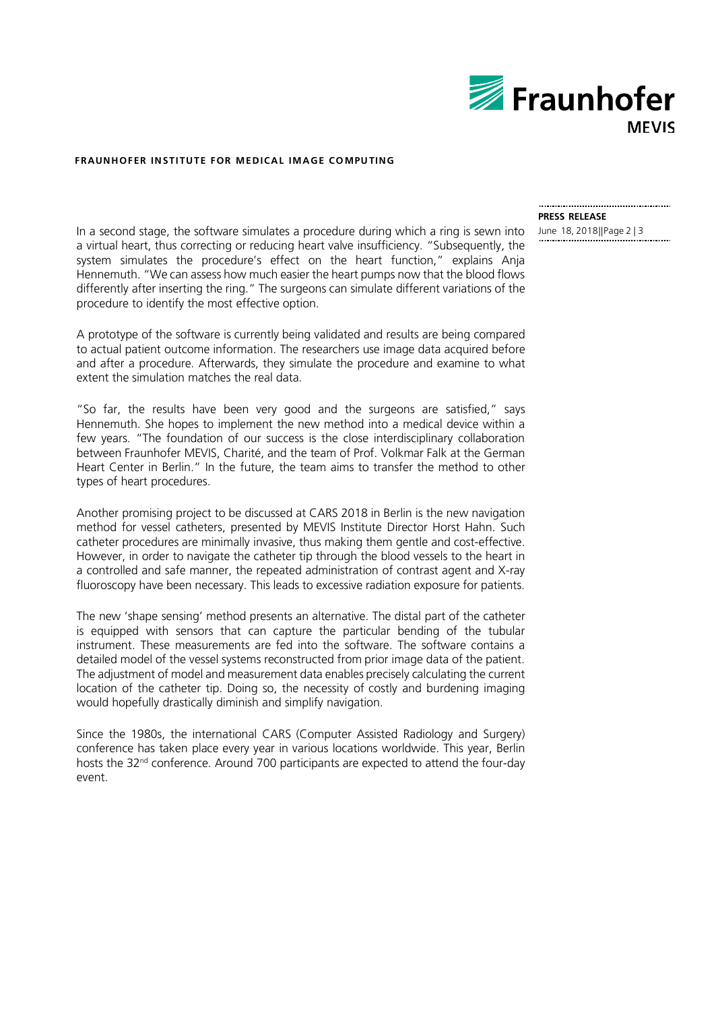

#### **FRAUNHOFER IN STI TUTE FOR MEDICAL IMAGE CO MPU TING**

In a second stage, the software simulates a procedure during which a ring is sewn into a virtual heart, thus correcting or reducing heart valve insufficiency. "Subsequently, the system simulates the procedure's effect on the heart function," explains Anja Hennemuth. "We can assess how much easier the heart pumps now that the blood flows differently after inserting the ring." The surgeons can simulate different variations of the procedure to identify the most effective option.

A prototype of the software is currently being validated and results are being compared to actual patient outcome information. The researchers use image data acquired before and after a procedure. Afterwards, they simulate the procedure and examine to what extent the simulation matches the real data.

"So far, the results have been very good and the surgeons are satisfied," says Hennemuth. She hopes to implement the new method into a medical device within a few years. "The foundation of our success is the close interdisciplinary collaboration between Fraunhofer MEVIS, Charité, and the team of Prof. Volkmar Falk at the German Heart Center in Berlin." In the future, the team aims to transfer the method to other types of heart procedures.

Another promising project to be discussed at CARS 2018 in Berlin is the new navigation method for vessel catheters, presented by MEVIS Institute Director Horst Hahn. Such catheter procedures are minimally invasive, thus making them gentle and cost-effective. However, in order to navigate the catheter tip through the blood vessels to the heart in a controlled and safe manner, the repeated administration of contrast agent and X-ray fluoroscopy have been necessary. This leads to excessive radiation exposure for patients.

The new 'shape sensing' method presents an alternative. The distal part of the catheter is equipped with sensors that can capture the particular bending of the tubular instrument. These measurements are fed into the software. The software contains a detailed model of the vessel systems reconstructed from prior image data of the patient. The adjustment of model and measurement data enables precisely calculating the current location of the catheter tip. Doing so, the necessity of costly and burdening imaging would hopefully drastically diminish and simplify navigation.

Since the 1980s, the international CARS (Computer Assisted Radiology and Surgery) conference has taken place every year in various locations worldwide. This year, Berlin hosts the 32<sup>nd</sup> conference. Around 700 participants are expected to attend the four-day event.

# **PRESS RELEASE**  June 18, 2018||Page 2 | 3